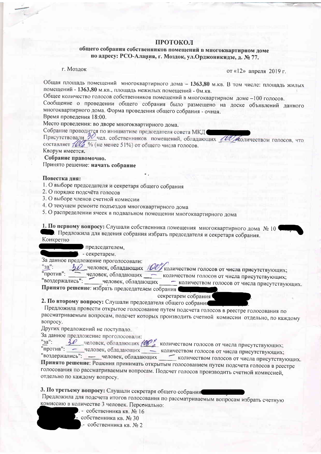### ПРОТОКОЛ

## общего собрания собственников помещений в многоквартирном доме по адресу: РСО-Алания, г. Моздок, ул.Орджоникидзе, д. № 77.

#### г. Моздок

от «12» апреля 2019 г.

Общая площадь помещений многоквартирного дома - 1363,80 м.кв. В том числе: площадь жилых помещений - 1363,80 м. кв., площадь нежилых помещений - 0м. кв.

Общее количество голосов собственников помещений в многоквартирном доме -100 голосов.

Сообщение о проведении общего собрания было размещено на доске объявлений данного многоквартирного дома. Форма проведения общего собрания - очная.

Время проведения 18:00.

Место проведения: во дворе многоквартирного дома.

Собрание проводится по инициативе председателя совета МКД

Присутствовали 30 чел. собственников помещений, обладающих 100 жоличеством голосов, что составляет 10 % (не менее 51%) от общего числа голосов. Кворум имеется.

Собрание правомочно.

# Принято решение: начать собрание

#### Повестка дня:

- 1. О выборе председателя и секретаря общего собрания
- 2. О порядке подсчёта голосов
- 3. О выборе членов счетной комиссии
- 4. О текущем ремонте подъездов многоквартирного дома
- 5. О распределении ячеек в подвальном помещении многоквартирного дома

1. По первому вопросу: Слушали собственника помещения многоквартирного дома № 10 Предложила для ведения собрания избрать председателя и секретаря собрания. Конкретно

председателем.

. - секретарем.

За данное предложение проголосовали:

 $"3a"$ :

ВО человек, обладающих 100 количеством голосов от числа присутствующих; против": человек, обладающих количеством голосов от числа присутствующих;

"воздержались": человек, обладающих - количеством голосов от числа присутствующих. Принято решение: избрать председателем собрания

секретарем собрания

2. По второму вопросу: Слушали председателя общего собрания

Предложила провести открытое голосование путем подсчета голосов в реестре голосования по рассматриваемым вопросам, подсчет которых производить счетной комиссии отдельно, по каждому вопросу.

Других предложений не поступало.

За данное предложение проголосовали:

 $\frac{30}{2}$  человек, обладающих  $\frac{100}{2}$  количеством голосов от числа присутствующих;  $"3a"$ :

"против": - человек, обладающих количеством голосов от числа присутствующих;

"воздержались": - человек, обладающих количеством голосов от числа присутствующих. Принято решение: Решения принимать открытым голосованием путем подсчета голосов в реестре голосования по рассматриваемым вопросам. Подсчет голосов производить счетной комиссией, отдельно по каждому вопросу.

3. По третьему вопросу: Слушали секретаря общего собрания

Предложила для подсчета итогов голосования по рассматриваемым вопросам избрать счетную комиссию в количестве 3 человек. Персонально:

- . собственника кв. № 16
- собственника кв. № 30 - собственника кв. № 2